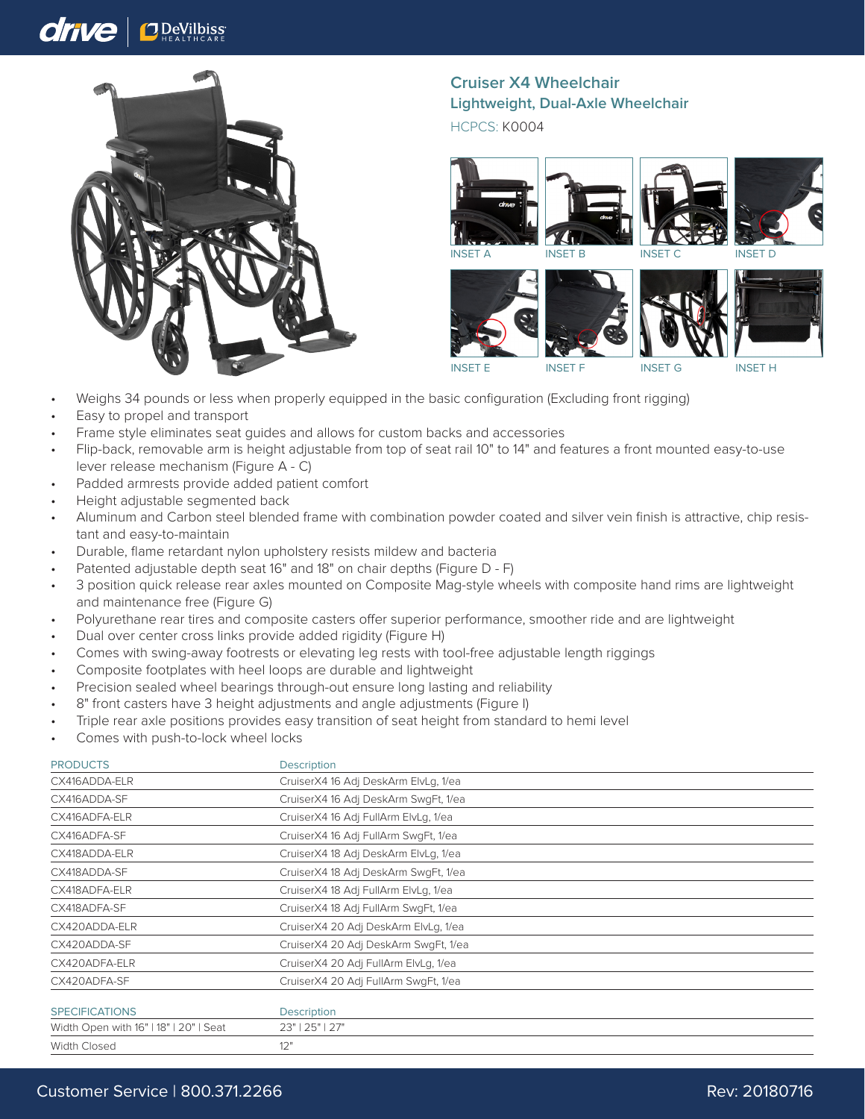## drive **J** DeVilbiss



**Cruiser X4 Wheelchair Lightweight, Dual-Axle Wheelchair**

HCPCS: K0004



INSET E INSET F INSET G INSET H

- Weighs 34 pounds or less when properly equipped in the basic configuration (Excluding front rigging)
- Easy to propel and transport
- Frame style eliminates seat guides and allows for custom backs and accessories
- Flip-back, removable arm is height adjustable from top of seat rail 10" to 14" and features a front mounted easy-to-use lever release mechanism (Figure A - C)
- Padded armrests provide added patient comfort
- Height adjustable segmented back
- Aluminum and Carbon steel blended frame with combination powder coated and silver vein finish is attractive, chip resistant and easy-to-maintain
- Durable, flame retardant nylon upholstery resists mildew and bacteria
- Patented adjustable depth seat 16" and 18" on chair depths (Figure D F)
- 3 position quick release rear axles mounted on Composite Mag-style wheels with composite hand rims are lightweight and maintenance free (Figure G)
- Polyurethane rear tires and composite casters offer superior performance, smoother ride and are lightweight
- Dual over center cross links provide added rigidity (Figure H)
- Comes with swing-away footrests or elevating leg rests with tool-free adjustable length riggings
- Composite footplates with heel loops are durable and lightweight
- Precision sealed wheel bearings through-out ensure long lasting and reliability
- 8" front casters have 3 height adjustments and angle adjustments (Figure I)
- Triple rear axle positions provides easy transition of seat height from standard to hemi level
- Comes with push-to-lock wheel locks

| <b>PRODUCTS</b>                        | <b>Description</b>                   |
|----------------------------------------|--------------------------------------|
| CX416ADDA-ELR                          | CruiserX4 16 Adj DeskArm ElvLg, 1/ea |
| CX416ADDA-SF                           | CruiserX4 16 Adj DeskArm SwgFt, 1/ea |
| CX416ADFA-ELR                          | CruiserX4 16 Adj FullArm ElvLg, 1/ea |
| CX416ADFA-SF                           | CruiserX4 16 Adj FullArm SwgFt, 1/ea |
| CX418ADDA-ELR                          | CruiserX4 18 Adj DeskArm ElvLg, 1/ea |
| CX418ADDA-SF                           | CruiserX4 18 Adj DeskArm SwgFt, 1/ea |
| CX418ADFA-ELR                          | CruiserX4 18 Adj FullArm ElvLg, 1/ea |
| CX418ADFA-SF                           | CruiserX4 18 Adj FullArm SwgFt, 1/ea |
| CX420ADDA-ELR                          | CruiserX4 20 Adj DeskArm ElvLg, 1/ea |
| CX420ADDA-SF                           | CruiserX4 20 Adj DeskArm SwgFt, 1/ea |
| CX420ADFA-ELR                          | CruiserX4 20 Adj FullArm ElvLg, 1/ea |
| CX420ADFA-SF                           | CruiserX4 20 Adj FullArm SwgFt, 1/ea |
| <b>SPECIFICATIONS</b>                  | <b>Description</b>                   |
| Width Open with 16"   18"   20"   Seat | 23"   25"   27"                      |
| Width Closed                           | 12"                                  |